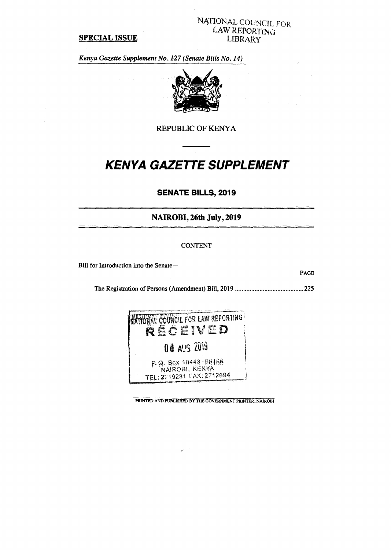#### **SPECIAL ISSUE**

## NATIONAL COUNCIL FOR. LAW REPORTING LIBRARY

*Kenya Gazette Supplement No. 127 (Senate Bills No. 14)* 



**REPUBLIC OF KENYA** 

# **KENYA GAZETTE SUPPLEMENT**

## **SENATE BILLS, 2019**

**NAIROBI, 26th July, 2019** 

#### CONTENT

Bill for Introduction into the Senate—

**PAGE** 

The Registration of Persons (Amendment) Bill, 2019 225



**PRINTED AND PUBLISHED BY THE GOVERNMENT PRINTER, NAIROBI**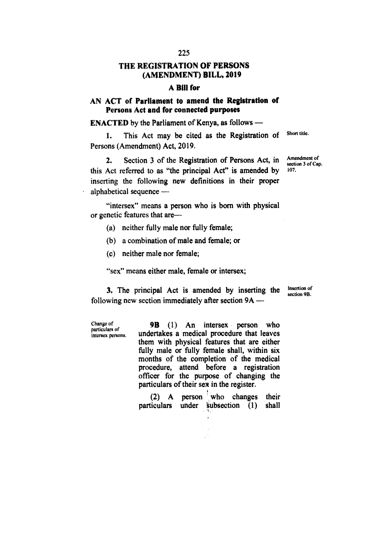## **THE REGISTRATION OF PERSONS (AMENDMENT) BILL, 2019**

#### **A Bill for**

## **AN ACT of Parliament to amend the Registration of Persons Act and for connected purposes**

**ENACTED by the Parliament of Kenya, as follows —** 

1. This Act may be cited as the Registration of Short title. **Persons (Amendment) Act, 2019.** 

**2.** Section 3 of the Registration of Persons Act, in Amendment of this Act referred to as "the principal Act" is amended by **inserting the following new definitions in their proper alphabetical sequence —** 

**"intersex" means a person who is born with physical or genetic features that are—** 

- **(a) neither fully male nor fully female;**
- **(b) a combination of male and female; or**
- **(c) neither male nor female;**

Change of

**"sex" means either male, female or intersex;** 

**3.** The principal Act is amended by inserting the Insertion of **following new section immediately after section 9A —** 

particulars of intersex persons, **9B (1) An intersex person who undertakes a medical procedure that leaves them with physical features that are either fully male or fully female shall, within six months of the completion of the medical procedure, attend before a registration officer for the purpose of changing the particulars of their sex in the register.** 

|  |  | (2) A person who changes their         |  |
|--|--|----------------------------------------|--|
|  |  | particulars under subsection (1) shall |  |

section 9B.

section 3 of Cap.<br>107.

**225**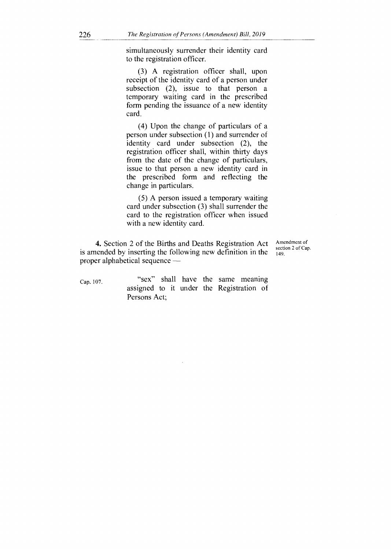simultaneously surrender their identity card to the registration officer.

(3) A registration officer shall, upon receipt of the identity card of a person under subsection (2), issue to that person a temporary waiting card in the prescribed form pending the issuance of a new identity card.

(4) Upon the change of particulars of a person under subsection (1) and surrender of identity card under subsection (2), the registration officer shall, within thirty days from the date of the change of particulars, issue to that person a new identity card in the prescribed form and reflecting the change in particulars.

(5) A person issued a temporary waiting card under subsection (3) shall surrender the card to the registration officer when issued with a new identity card.

**4.** Section 2 of the Births and Deaths Registration Act is amended by inserting the following new definition in the proper alphabetical sequence —

Amendment of section 2 of Cap. 149.

Cap. 107. "Sex" shall have the same meaning assigned to it under the Registration of Persons Act;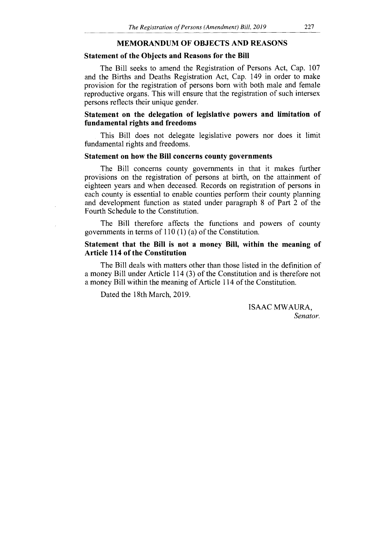#### **MEMORANDUM OF OBJECTS AND REASONS**

#### **Statement of the Objects and Reasons for the Bill**

The Bill seeks to amend the Registration of Persons Act, Cap. 107 and the Births and Deaths Registration Act, Cap. 149 in order to make provision for the registration of persons born with both male and female reproductive organs. This will ensure that the registration of such intersex persons reflects their unique gender.

### **Statement on the delegation of legislative powers and limitation of fundamental rights and freedoms**

This Bill does not delegate legislative powers nor does it limit fundamental rights and freedoms.

### **Statement on how the Bill concerns county governments**

The Bill concerns county governments in that it makes further provisions on the registration of persons at birth, on the attainment of eighteen years and when deceased. Records on registration of persons in each county is essential to enable counties perform their county planning and development function as stated under paragraph 8 of Part 2 of the Fourth Schedule to the Constitution.

The Bill therefore affects the functions and powers of county governments in terms of 110 (1) (a) of the Constitution.

#### **Statement that the Bill is not a money Bill, within the meaning of Article 114 of the Constitution**

The Bill deals with matters other than those listed in the definition of a money Bill under Article 114 (3) of the Constitution and is therefore not a money Bill within the meaning of Article 114 of the Constitution.

Dated the 18th March, 2019.

ISAAC MWAURA, *Senator.*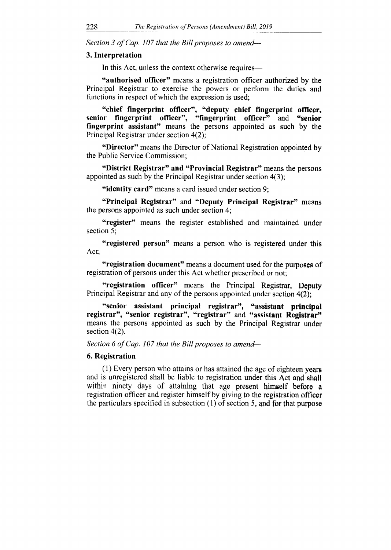*Section 3 of Cap. 107 that the Bill proposes to amend-*

#### **3. Interpretation**

In this Act, unless the context otherwise requires—

**"authorised officer"** means a registration officer authorized by the Principal Registrar to exercise the powers or perform the duties and functions in respect of which the expression is used;

**"chief fingerprint officer", "deputy chief fingerprint officer, senior fingerprint officer", "fingerprint officer"** and "senior **fingerprint assistant"** means the persons appointed as such by the Principal Registrar under section 4(2);

**"Director"** means the Director of National Registration appointed by the Public Service Commission;

**"District Registrar" and "Provincial Registrar"** means the persons appointed as such by the Principal Registrar under section 4(3);

**"identity card"** means a card issued under section 9;

**"Principal Registrar"** and **"Deputy Principal Registrar"** means the persons appointed as such under section 4;

**"register"** means the register established and maintained under section 5;

**"registered person"** means a person who is registered under this Act;

**"registration document"** means a document used for the purposes of registration of persons under this Act whether prescribed or not;

**"registration officer"** means the Principal Registrar, Deputy Principal Registrar and any of the persons appointed under section 4(2);

**"senior assistant principal registrar", "assistant principal registrar", "senior registrar", "registrar"** and "assistant Registrar" means the persons appointed as such by the Principal Registrar under section 4(2).

*Section 6 of Cap. 107 that the Bill proposes to amend-*

#### **6. Registration**

(1) Every person who attains or has attained the age of eighteen years and is unregistered shall be liable to registration under this Act and shall within ninety days of attaining that age present himself before a registration officer and register himself by giving to the registration officer the particulars specified in subsection (1) of section 5, and for that purpose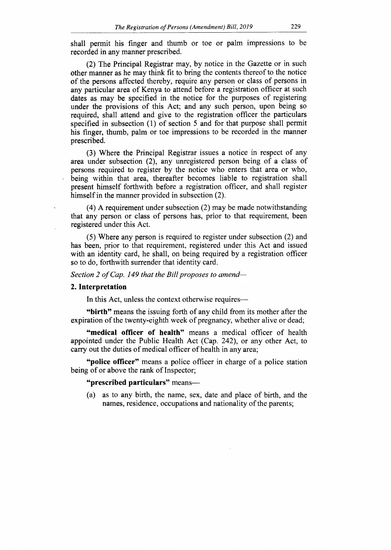shall permit his finger and thumb or toe or palm impressions to be recorded in any manner prescribed.

(2) The Principal Registrar may, by notice in the Gazette or in such other manner as he may think fit to bring the contents thereof to the notice of the persons affected thereby, require any person or class of persons in any particular area of Kenya to attend before a registration officer at such dates as may be specified in the notice for the purposes of registering under the provisions of this Act; and any such person, upon being so required, shall attend and give to the registration officer the particulars specified in subsection (1) of section 5 and for that purpose shall permit his finger, thumb, palm or toe impressions to be recorded in the manner prescribed.

(3) Where the Principal Registrar issues a notice in respect of any area under subsection (2), any unregistered person being of a class of persons required to register by the notice who enters that area or who, being within that area, thereafter becomes liable to registration shall present himself forthwith before a registration officer, and shall register himself in the manner provided in subsection (2).

(4) A requirement under subsection (2) may be made notwithstanding that any person or class of persons has, prior to that requirement, been registered under this Act.

(5) Where any person is required to register under subsection (2) and has been, prior to that requirement, registered under this Act and issued with an identity card, he shall, on being required by a registration officer so to do, forthwith surrender that identity card.

Section 2 of Cap. 149 that the Bill proposes to amend-

#### **2. Interpretation**

In this Act, unless the context otherwise requires—

**"birth"** means the issuing forth of any child from its mother after the expiration of the twenty-eighth week of pregnancy, whether alive or dead;

**"medical officer of health"** means a medical officer of health appointed under the Public Health Act (Cap. 242), or any other Act, to carry out the duties of medical officer of health in any area;

**"police officer"** means a police officer in charge of a police station being of or above the rank of Inspector;

**"prescribed particulars"** means—

(a) as to any birth, the name, sex, date and place of birth, and the names, residence, occupations and nationality of the parents;